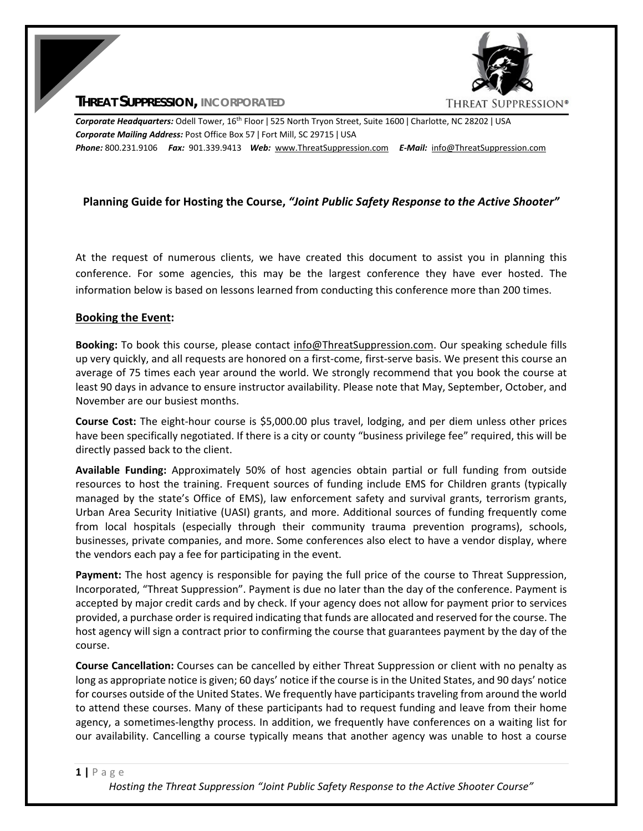**THREAT SUPPRESSION, INCORPORATED**



*Corporate Headquarters:* Odell Tower, 16th Floor ǀ 525 North Tryon Street, Suite 1600 ǀ Charlotte, NC 28202 ǀ USA *Corporate Mailing Address:* Post Office Box 57 ǀ Fort Mill, SC 29715 ǀ USA *Phone:* 800.231.9106  *Fax:* 901.339.9413 *Web:* www.ThreatSuppression.com *E‐Mail:*  info@ThreatSuppression.com

# **Planning Guide for Hosting the Course,** *"Joint Public Safety Response to the Active Shooter"*

At the request of numerous clients, we have created this document to assist you in planning this conference. For some agencies, this may be the largest conference they have ever hosted. The information below is based on lessons learned from conducting this conference more than 200 times.

#### **Booking the Event:**

**Booking:** To book this course, please contact info@ThreatSuppression.com. Our speaking schedule fills up very quickly, and all requests are honored on a first‐come, first‐serve basis. We present this course an average of 75 times each year around the world. We strongly recommend that you book the course at least 90 days in advance to ensure instructor availability. Please note that May, September, October, and November are our busiest months.

**Course Cost:** The eight‐hour course is \$5,000.00 plus travel, lodging, and per diem unless other prices have been specifically negotiated. If there is a city or county "business privilege fee" required, this will be directly passed back to the client.

**Available Funding:** Approximately 50% of host agencies obtain partial or full funding from outside resources to host the training. Frequent sources of funding include EMS for Children grants (typically managed by the state's Office of EMS), law enforcement safety and survival grants, terrorism grants, Urban Area Security Initiative (UASI) grants, and more. Additional sources of funding frequently come from local hospitals (especially through their community trauma prevention programs), schools, businesses, private companies, and more. Some conferences also elect to have a vendor display, where the vendors each pay a fee for participating in the event.

**Payment:** The host agency is responsible for paying the full price of the course to Threat Suppression, Incorporated, "Threat Suppression". Payment is due no later than the day of the conference. Payment is accepted by major credit cards and by check. If your agency does not allow for payment prior to services provided, a purchase order is required indicating that funds are allocated and reserved for the course. The host agency will sign a contract prior to confirming the course that guarantees payment by the day of the course.

**Course Cancellation:** Courses can be cancelled by either Threat Suppression or client with no penalty as long as appropriate notice is given; 60 days' notice if the course is in the United States, and 90 days' notice for courses outside of the United States. We frequently have participants traveling from around the world to attend these courses. Many of these participants had to request funding and leave from their home agency, a sometimes‐lengthy process. In addition, we frequently have conferences on a waiting list for our availability. Cancelling a course typically means that another agency was unable to host a course

#### **1 |** Page

*Hosting the Threat Suppression "Joint Public Safety Response to the Active Shooter Course"*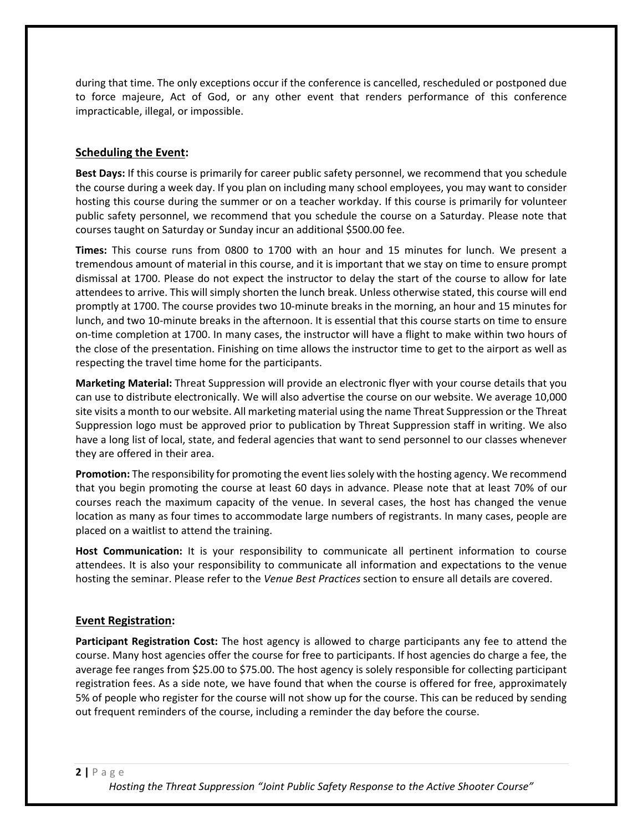during that time. The only exceptions occur if the conference is cancelled, rescheduled or postponed due to force majeure, Act of God, or any other event that renders performance of this conference impracticable, illegal, or impossible.

# **Scheduling the Event:**

**Best Days:** If this course is primarily for career public safety personnel, we recommend that you schedule the course during a week day. If you plan on including many school employees, you may want to consider hosting this course during the summer or on a teacher workday. If this course is primarily for volunteer public safety personnel, we recommend that you schedule the course on a Saturday. Please note that courses taught on Saturday or Sunday incur an additional \$500.00 fee.

**Times:** This course runs from 0800 to 1700 with an hour and 15 minutes for lunch. We present a tremendous amount of material in this course, and it is important that we stay on time to ensure prompt dismissal at 1700. Please do not expect the instructor to delay the start of the course to allow for late attendees to arrive. This will simply shorten the lunch break. Unless otherwise stated, this course will end promptly at 1700. The course provides two 10‐minute breaks in the morning, an hour and 15 minutes for lunch, and two 10‐minute breaks in the afternoon. It is essential that this course starts on time to ensure on-time completion at 1700. In many cases, the instructor will have a flight to make within two hours of the close of the presentation. Finishing on time allows the instructor time to get to the airport as well as respecting the travel time home for the participants.

**Marketing Material:** Threat Suppression will provide an electronic flyer with your course details that you can use to distribute electronically. We will also advertise the course on our website. We average 10,000 site visits a month to our website. All marketing material using the name Threat Suppression or the Threat Suppression logo must be approved prior to publication by Threat Suppression staff in writing. We also have a long list of local, state, and federal agencies that want to send personnel to our classes whenever they are offered in their area.

**Promotion:** The responsibility for promoting the event lies solely with the hosting agency. We recommend that you begin promoting the course at least 60 days in advance. Please note that at least 70% of our courses reach the maximum capacity of the venue. In several cases, the host has changed the venue location as many as four times to accommodate large numbers of registrants. In many cases, people are placed on a waitlist to attend the training.

**Host Communication:** It is your responsibility to communicate all pertinent information to course attendees. It is also your responsibility to communicate all information and expectations to the venue hosting the seminar. Please refer to the *Venue Best Practices* section to ensure all details are covered.

# **Event Registration:**

**Participant Registration Cost:** The host agency is allowed to charge participants any fee to attend the course. Many host agencies offer the course for free to participants. If host agencies do charge a fee, the average fee ranges from \$25.00 to \$75.00. The host agency is solely responsible for collecting participant registration fees. As a side note, we have found that when the course is offered for free, approximately 5% of people who register for the course will not show up for the course. This can be reduced by sending out frequent reminders of the course, including a reminder the day before the course.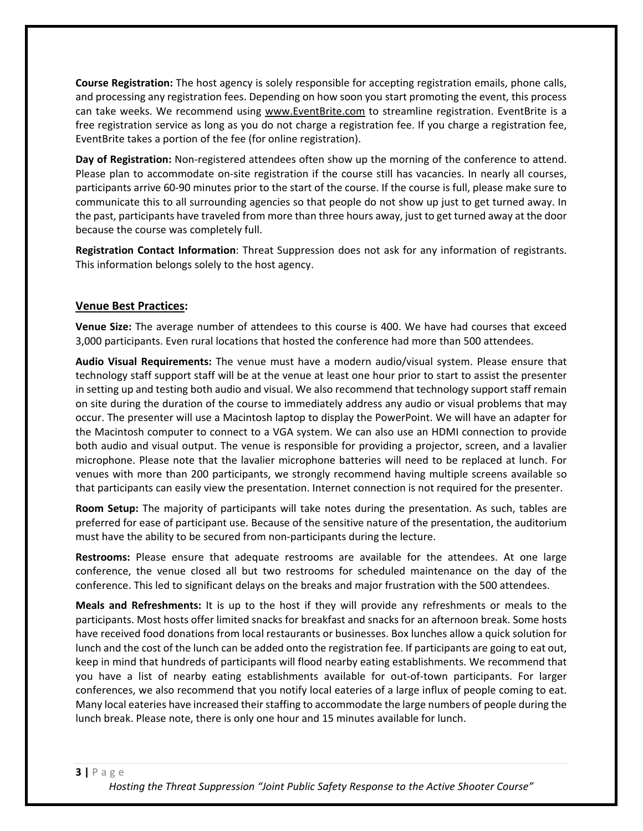**Course Registration:** The host agency is solely responsible for accepting registration emails, phone calls, and processing any registration fees. Depending on how soon you start promoting the event, this process can take weeks. We recommend using www.EventBrite.com to streamline registration. EventBrite is a free registration service as long as you do not charge a registration fee. If you charge a registration fee, EventBrite takes a portion of the fee (for online registration).

**Day of Registration:** Non‐registered attendees often show up the morning of the conference to attend. Please plan to accommodate on-site registration if the course still has vacancies. In nearly all courses, participants arrive 60‐90 minutes prior to the start of the course. If the course is full, please make sure to communicate this to all surrounding agencies so that people do not show up just to get turned away. In the past, participants have traveled from more than three hours away, just to get turned away at the door because the course was completely full.

**Registration Contact Information**: Threat Suppression does not ask for any information of registrants. This information belongs solely to the host agency.

#### **Venue Best Practices:**

**Venue Size:** The average number of attendees to this course is 400. We have had courses that exceed 3,000 participants. Even rural locations that hosted the conference had more than 500 attendees.

**Audio Visual Requirements:** The venue must have a modern audio/visual system. Please ensure that technology staff support staff will be at the venue at least one hour prior to start to assist the presenter in setting up and testing both audio and visual. We also recommend that technology support staff remain on site during the duration of the course to immediately address any audio or visual problems that may occur. The presenter will use a Macintosh laptop to display the PowerPoint. We will have an adapter for the Macintosh computer to connect to a VGA system. We can also use an HDMI connection to provide both audio and visual output. The venue is responsible for providing a projector, screen, and a lavalier microphone. Please note that the lavalier microphone batteries will need to be replaced at lunch. For venues with more than 200 participants, we strongly recommend having multiple screens available so that participants can easily view the presentation. Internet connection is not required for the presenter.

**Room Setup:** The majority of participants will take notes during the presentation. As such, tables are preferred for ease of participant use. Because of the sensitive nature of the presentation, the auditorium must have the ability to be secured from non‐participants during the lecture.

**Restrooms:** Please ensure that adequate restrooms are available for the attendees. At one large conference, the venue closed all but two restrooms for scheduled maintenance on the day of the conference. This led to significant delays on the breaks and major frustration with the 500 attendees.

**Meals and Refreshments:** It is up to the host if they will provide any refreshments or meals to the participants. Most hosts offer limited snacks for breakfast and snacks for an afternoon break. Some hosts have received food donations from local restaurants or businesses. Box lunches allow a quick solution for lunch and the cost of the lunch can be added onto the registration fee. If participants are going to eat out, keep in mind that hundreds of participants will flood nearby eating establishments. We recommend that you have a list of nearby eating establishments available for out‐of‐town participants. For larger conferences, we also recommend that you notify local eateries of a large influx of people coming to eat. Many local eateries have increased their staffing to accommodate the large numbers of people during the lunch break. Please note, there is only one hour and 15 minutes available for lunch.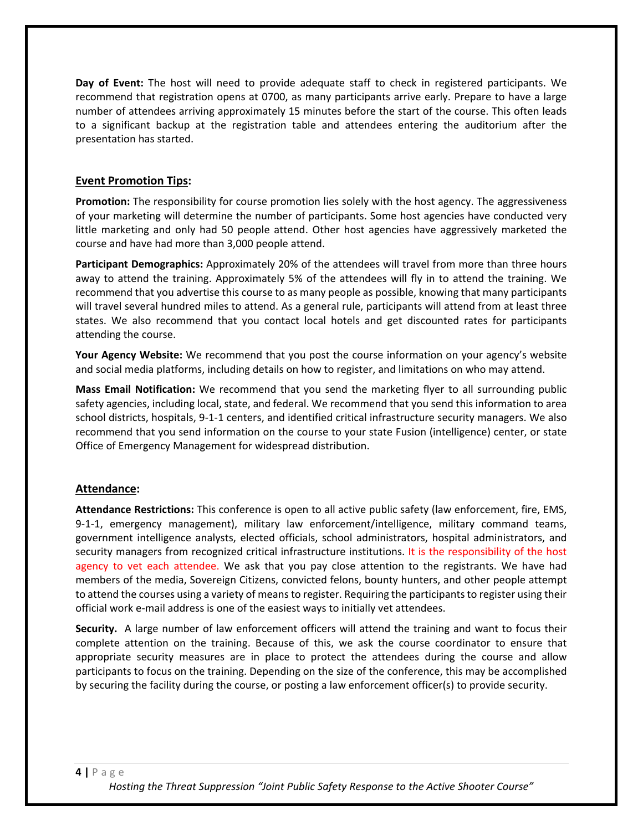**Day of Event:** The host will need to provide adequate staff to check in registered participants. We recommend that registration opens at 0700, as many participants arrive early. Prepare to have a large number of attendees arriving approximately 15 minutes before the start of the course. This often leads to a significant backup at the registration table and attendees entering the auditorium after the presentation has started.

### **Event Promotion Tips:**

**Promotion:** The responsibility for course promotion lies solely with the host agency. The aggressiveness of your marketing will determine the number of participants. Some host agencies have conducted very little marketing and only had 50 people attend. Other host agencies have aggressively marketed the course and have had more than 3,000 people attend.

**Participant Demographics:** Approximately 20% of the attendees will travel from more than three hours away to attend the training. Approximately 5% of the attendees will fly in to attend the training. We recommend that you advertise this course to as many people as possible, knowing that many participants will travel several hundred miles to attend. As a general rule, participants will attend from at least three states. We also recommend that you contact local hotels and get discounted rates for participants attending the course.

**Your Agency Website:** We recommend that you post the course information on your agency's website and social media platforms, including details on how to register, and limitations on who may attend.

**Mass Email Notification:** We recommend that you send the marketing flyer to all surrounding public safety agencies, including local, state, and federal. We recommend that you send this information to area school districts, hospitals, 9‐1‐1 centers, and identified critical infrastructure security managers. We also recommend that you send information on the course to your state Fusion (intelligence) center, or state Office of Emergency Management for widespread distribution.

#### **Attendance:**

**Attendance Restrictions:** This conference is open to all active public safety (law enforcement, fire, EMS, 9-1-1, emergency management), military law enforcement/intelligence, military command teams, government intelligence analysts, elected officials, school administrators, hospital administrators, and security managers from recognized critical infrastructure institutions. It is the responsibility of the host agency to vet each attendee. We ask that you pay close attention to the registrants. We have had members of the media, Sovereign Citizens, convicted felons, bounty hunters, and other people attempt to attend the courses using a variety of means to register. Requiring the participants to register using their official work e‐mail address is one of the easiest ways to initially vet attendees.

Security. A large number of law enforcement officers will attend the training and want to focus their complete attention on the training. Because of this, we ask the course coordinator to ensure that appropriate security measures are in place to protect the attendees during the course and allow participants to focus on the training. Depending on the size of the conference, this may be accomplished by securing the facility during the course, or posting a law enforcement officer(s) to provide security.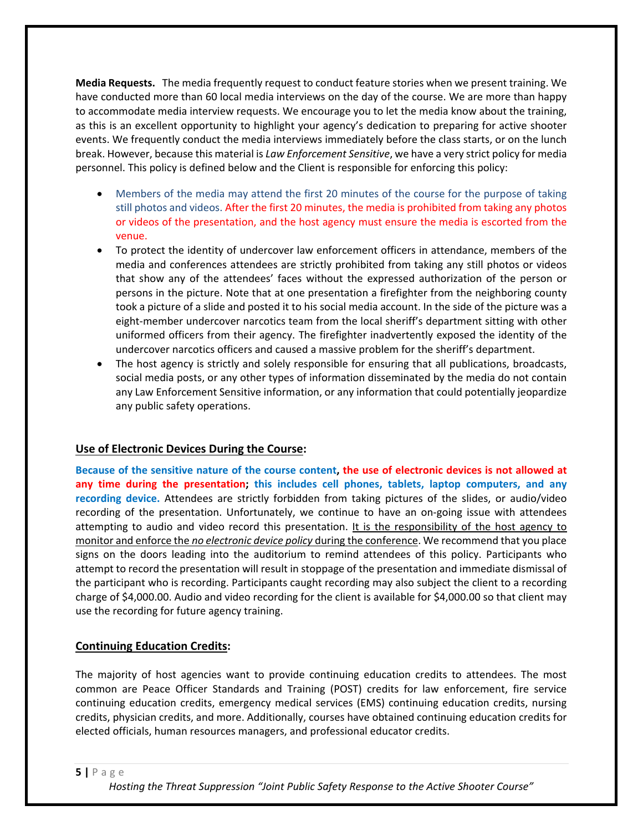**Media Requests.** The media frequently request to conduct feature stories when we present training. We have conducted more than 60 local media interviews on the day of the course. We are more than happy to accommodate media interview requests. We encourage you to let the media know about the training, as this is an excellent opportunity to highlight your agency's dedication to preparing for active shooter events. We frequently conduct the media interviews immediately before the class starts, or on the lunch break. However, because this material is *Law Enforcement Sensitive*, we have a very strict policy for media personnel. This policy is defined below and the Client is responsible for enforcing this policy:

- Members of the media may attend the first 20 minutes of the course for the purpose of taking still photos and videos. After the first 20 minutes, the media is prohibited from taking any photos or videos of the presentation, and the host agency must ensure the media is escorted from the venue.
- To protect the identity of undercover law enforcement officers in attendance, members of the media and conferences attendees are strictly prohibited from taking any still photos or videos that show any of the attendees' faces without the expressed authorization of the person or persons in the picture. Note that at one presentation a firefighter from the neighboring county took a picture of a slide and posted it to his social media account. In the side of the picture was a eight-member undercover narcotics team from the local sheriff's department sitting with other uniformed officers from their agency. The firefighter inadvertently exposed the identity of the undercover narcotics officers and caused a massive problem for the sheriff's department.
- The host agency is strictly and solely responsible for ensuring that all publications, broadcasts, social media posts, or any other types of information disseminated by the media do not contain any Law Enforcement Sensitive information, or any information that could potentially jeopardize any public safety operations.

# **Use of Electronic Devices During the Course:**

**Because of the sensitive nature of the course content, the use of electronic devices is not allowed at any time during the presentation; this includes cell phones, tablets, laptop computers, and any recording device.** Attendees are strictly forbidden from taking pictures of the slides, or audio/video recording of the presentation. Unfortunately, we continue to have an on-going issue with attendees attempting to audio and video record this presentation. It is the responsibility of the host agency to monitor and enforce the *no electronic device policy* during the conference. We recommend that you place signs on the doors leading into the auditorium to remind attendees of this policy. Participants who attempt to record the presentation will result in stoppage of the presentation and immediate dismissal of the participant who is recording. Participants caught recording may also subject the client to a recording charge of \$4,000.00. Audio and video recording for the client is available for \$4,000.00 so that client may use the recording for future agency training.

# **Continuing Education Credits:**

The majority of host agencies want to provide continuing education credits to attendees. The most common are Peace Officer Standards and Training (POST) credits for law enforcement, fire service continuing education credits, emergency medical services (EMS) continuing education credits, nursing credits, physician credits, and more. Additionally, courses have obtained continuing education credits for elected officials, human resources managers, and professional educator credits.

#### **5 |** Page

*Hosting the Threat Suppression "Joint Public Safety Response to the Active Shooter Course"*